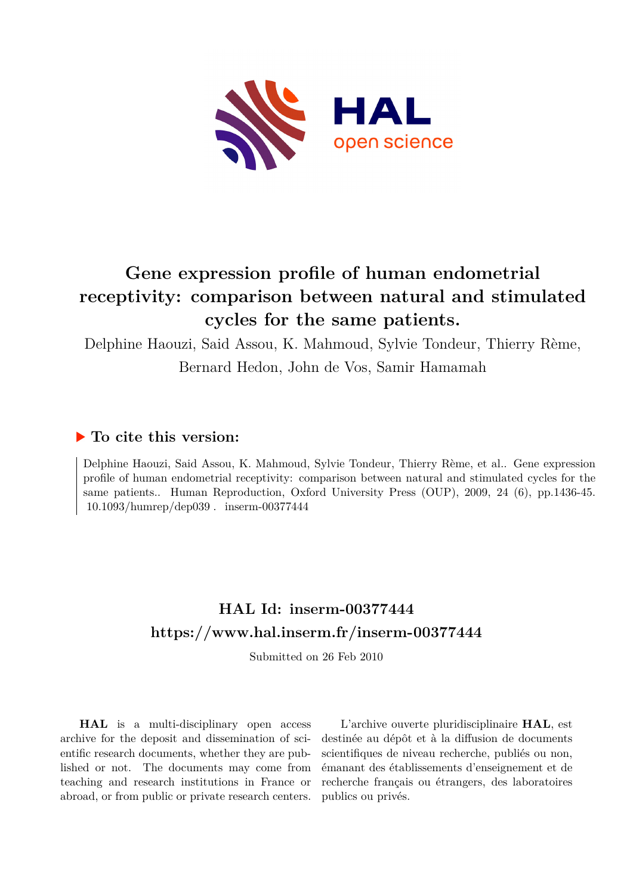

# **Gene expression profile of human endometrial receptivity: comparison between natural and stimulated cycles for the same patients.**

Delphine Haouzi, Said Assou, K. Mahmoud, Sylvie Tondeur, Thierry Rème,

Bernard Hedon, John de Vos, Samir Hamamah

# **To cite this version:**

Delphine Haouzi, Said Assou, K. Mahmoud, Sylvie Tondeur, Thierry Rème, et al.. Gene expression profile of human endometrial receptivity: comparison between natural and stimulated cycles for the same patients.. Human Reproduction, Oxford University Press (OUP), 2009, 24 (6), pp.1436-45.  $10.1093/humrep/dep039$ . inserm-00377444

# **HAL Id: inserm-00377444 <https://www.hal.inserm.fr/inserm-00377444>**

Submitted on 26 Feb 2010

**HAL** is a multi-disciplinary open access archive for the deposit and dissemination of scientific research documents, whether they are published or not. The documents may come from teaching and research institutions in France or abroad, or from public or private research centers.

L'archive ouverte pluridisciplinaire **HAL**, est destinée au dépôt et à la diffusion de documents scientifiques de niveau recherche, publiés ou non, émanant des établissements d'enseignement et de recherche français ou étrangers, des laboratoires publics ou privés.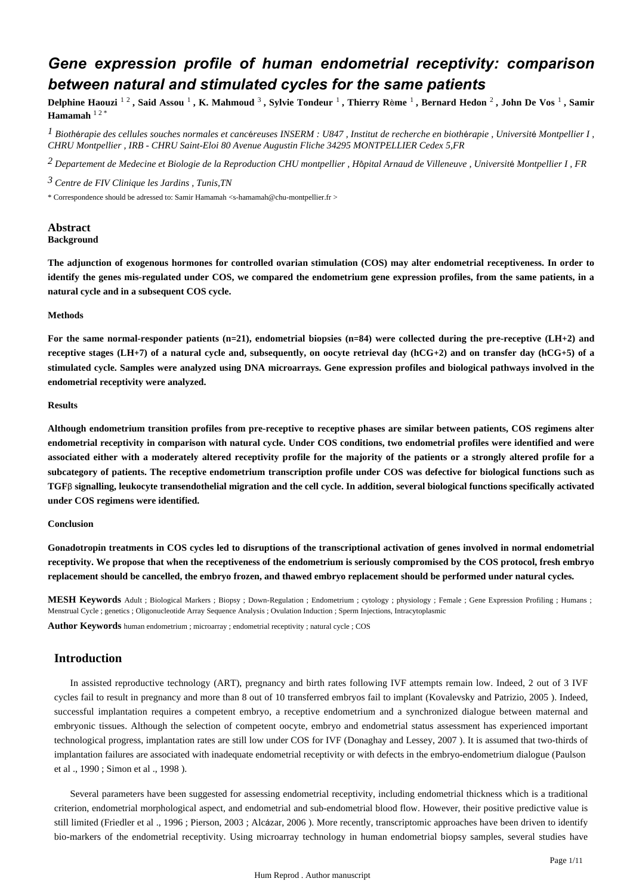# *Gene expression profile of human endometrial receptivity: comparison between natural and stimulated cycles for the same patients*

Delphine Haouzi <sup>1 2</sup> , Said Assou <sup>1</sup> , K. Mahmoud <sup>3</sup> , Sylvie Tondeur <sup>1</sup> , Thierry Rème <sup>1</sup> , Bernard Hedon <sup>2</sup> , John De Vos <sup>1</sup> , Samir **Hamamah** 1 2 \*

*I* Biothérapie des cellules souches normales et cancéreuses INSERM : U847 , Institut de recherche en biothérapie , Université Montpellier I , *CHRU Montpellier , IRB - CHRU Saint-Eloi 80 Avenue Augustin Fliche 34295 MONTPELLIER Cedex 5,FR*

<sup>2</sup> Departement de Medecine et Biologie de la Reproduction CHU montpellier, Hôpital Arnaud de Villeneuve, Université Montpellier I, FR

<sup>3</sup> Centre de FIV Clinique les Jardins, Tunis, TN

\* Correspondence should be adressed to: Samir Hamamah <s-hamamah@chu-montpellier.fr >

# **Abstract Background**

**The adjunction of exogenous hormones for controlled ovarian stimulation (COS) may alter endometrial receptiveness. In order to identify the genes mis-regulated under COS, we compared the endometrium gene expression profiles, from the same patients, in a natural cycle and in a subsequent COS cycle.**

### **Methods**

For the same normal-responder patients  $(n=21)$ , endometrial biopsies  $(n=84)$  were collected during the pre-receptive  $(LH+2)$  and receptive stages (LH+7) of a natural cycle and, subsequently, on oocyte retrieval day (hCG+2) and on transfer day (hCG+5) of a **stimulated cycle. Samples were analyzed using DNA microarrays. Gene expression profiles and biological pathways involved in the endometrial receptivity were analyzed.**

#### **Results**

**Although endometrium transition profiles from pre-receptive to receptive phases are similar between patients, COS regimens alter endometrial receptivity in comparison with natural cycle. Under COS conditions, two endometrial profiles were identified and were associated either with a moderately altered receptivity profile for the majority of the patients or a strongly altered profile for a subcategory of patients. The receptive endometrium transcription profile under COS was defective for biological functions such as TGFβ signalling, leukocyte transendothelial migration and the cell cycle. In addition, several biological functions specifically activated under COS regimens were identified.**

#### **Conclusion**

**Gonadotropin treatments in COS cycles led to disruptions of the transcriptional activation of genes involved in normal endometrial receptivity. We propose that when the receptiveness of the endometrium is seriously compromised by the COS protocol, fresh embryo replacement should be cancelled, the embryo frozen, and thawed embryo replacement should be performed under natural cycles.**

**MESH Keywords** Adult ; Biological Markers ; Biopsy ; Down-Regulation ; Endometrium ; cytology ; physiology ; Female ; Gene Expression Profiling ; Humans ; Menstrual Cycle ; genetics ; Oligonucleotide Array Sequence Analysis ; Ovulation Induction ; Sperm Injections, Intracytoplasmic

**Author Keywords** human endometrium ; microarray ; endometrial receptivity ; natural cycle ; COS

# **Introduction**

In assisted reproductive technology (ART), pregnancy and birth rates following IVF attempts remain low. Indeed, 2 out of 3 IVF cycles fail to result in pregnancy and more than 8 out of 10 transferred embryos fail to implant (Kovalevsky and Patrizio, 2005). Indeed, successful implantation requires a competent embryo, a receptive endometrium and a synchronized dialogue between maternal and embryonic tissues. Although the selection of competent oocyte, embryo and endometrial status assessment has experienced important technological progress, implantation rates are still low under COS for IVF (Donaghay and Lessey, 2007). It is assumed that two-thirds of implantation failures are associated with inadequate endometrial receptivity or with defects in the embryo-endometrium dialogue (Paulson et al ., 1990 ; Simon et al ., 1998 ).

Several parameters have been suggested for assessing endometrial receptivity, including endometrial thickness which is a traditional criterion, endometrial morphological aspect, and endometrial and sub-endometrial blood flow. However, their positive predictive value is still limited (Friedler et al., 1996 : Pierson, 2003 : Alcázar, 2006). More recently, transcriptomic approaches have been driven to identify bio-markers of the endometrial receptivity. Using microarray technology in human endometrial biopsy samples, several studies have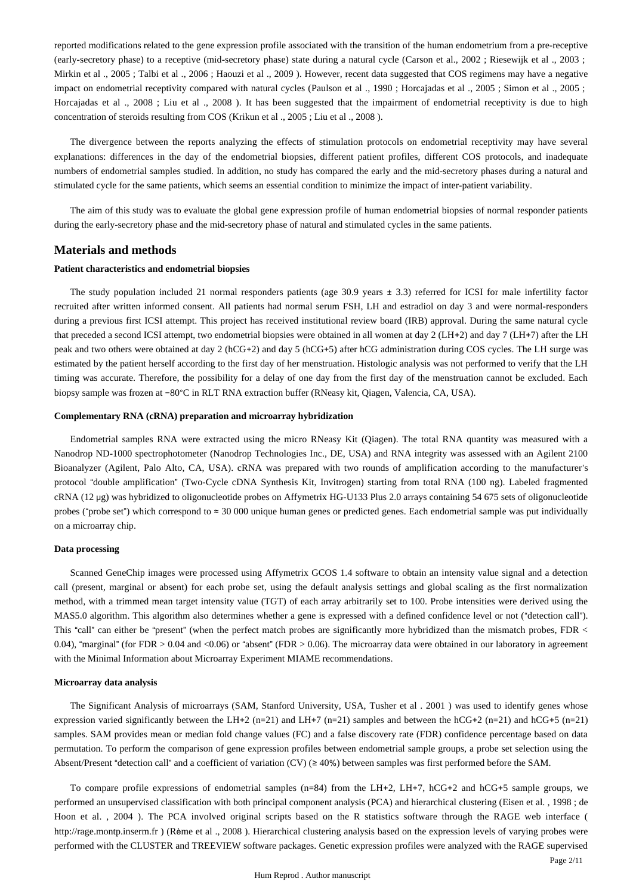reported modifications related to the gene expression profile associated with the transition of the human endometrium from a pre-receptive (early-secretory phase) to a receptive (mid-secretory phase) state during a natural cycle (Carson et al., 2002; Riesewijk et al., 2003; Mirkin et al ., 2005 ; Talbi et al ., 2006 ; Haouzi et al ., 2009 ). However, recent data suggested that COS regimens may have a negative impact on endometrial receptivity compared with natural cycles (Paulson et al ., 1990; Horcajadas et al ., 2005; Simon et al ., 2005; Horcajadas et al ., 2008 ; Liu et al ., 2008). It has been suggested that the impairment of endometrial receptivity is due to high concentration of steroids resulting from COS (Krikun et al ., 2005 ; Liu et al ., 2008 ).

The divergence between the reports analyzing the effects of stimulation protocols on endometrial receptivity may have several explanations: differences in the day of the endometrial biopsies, different patient profiles, different COS protocols, and inadequate numbers of endometrial samples studied. In addition, no study has compared the early and the mid-secretory phases during a natural and stimulated cycle for the same patients, which seems an essential condition to minimize the impact of inter-patient variability.

The aim of this study was to evaluate the global gene expression profile of human endometrial biopsies of normal responder patients during the early-secretory phase and the mid-secretory phase of natural and stimulated cycles in the same patients.

# **Materials and methods**

## **Patient characteristics and endometrial biopsies**

The study population included 21 normal responders patients (age  $30.9$  years  $\pm 3.3$ ) referred for ICSI for male infertility factor recruited after written informed consent. All patients had normal serum FSH, LH and estradiol on day 3 and were normal-responders during a previous first ICSI attempt. This project has received institutional review board (IRB) approval. During the same natural cycle that preceded a second ICSI attempt, two endometrial biopsies were obtained in all women at day  $2$  (LH+2) and day  $7$  (LH+7) after the LH peak and two others were obtained at day 2 (hCG+2) and day 5 (hCG+5) after hCG administration during COS cycles. The LH surge was estimated by the patient herself according to the first day of her menstruation. Histologic analysis was not performed to verify that the LH timing was accurate. Therefore, the possibility for a delay of one day from the first day of the menstruation cannot be excluded. Each biopsy sample was frozen at -80°C in RLT RNA extraction buffer (RNeasy kit, Qiagen, Valencia, CA, USA).

#### **Complementary RNA (cRNA) preparation and microarray hybridization**

Endometrial samples RNA were extracted using the micro RNeasy Kit (Qiagen). The total RNA quantity was measured with a Nanodrop ND-1000 spectrophotometer (Nanodrop Technologies Inc., DE, USA) and RNA integrity was assessed with an Agilent 2100 Bioanalyzer (Agilent, Palo Alto, CA, USA). cRNA was prepared with two rounds of amplification according to the manufacturer's protocol "double amplification" (Two-Cycle cDNA Synthesis Kit, Invitrogen) starting from total RNA (100 ng). Labeled fragmented cRNA (12 μg) was hybridized to oligonucleotide probes on Affymetrix HG-U133 Plus 2.0 arrays containing 54 675 sets of oligonucleotide probes ("probe set") which correspond to  $\approx 30,000$  unique human genes or predicted genes. Each endometrial sample was put individually on a microarray chip.

#### **Data processing**

Scanned GeneChip images were processed using Affymetrix GCOS 1.4 software to obtain an intensity value signal and a detection call (present, marginal or absent) for each probe set, using the default analysis settings and global scaling as the first normalization method, with a trimmed mean target intensity value (TGT) of each array arbitrarily set to 100. Probe intensities were derived using the MAS5.0 algorithm. This algorithm also determines whether a gene is expressed with a defined confidence level or not ("detection call"). This "call" can either be "present" (when the perfect match probes are significantly more hybridized than the mismatch probes, FDR  $\lt$ 0.04), "marginal" (for FDR  $> 0.04$  and  $<0.06$ ) or "absent" (FDR  $> 0.06$ ). The microarray data were obtained in our laboratory in agreement with the Minimal Information about Microarray Experiment MIAME recommendations.

### **Microarray data analysis**

The Significant Analysis of microarrays (SAM, Stanford University, USA, Tusher et al. 2001) was used to identify genes whose expression varied significantly between the LH+2 (n=21) and LH+7 (n=21) samples and between the hCG+2 (n=21) and hCG+5 (n=21) samples. SAM provides mean or median fold change values (FC) and a false discovery rate (FDR) confidence percentage based on data permutation. To perform the comparison of gene expression profiles between endometrial sample groups, a probe set selection using the Absent/Present "detection call" and a coefficient of variation (CV) ( $\geq 40\%$ ) between samples was first performed before the SAM.

To compare profile expressions of endometrial samples  $(n=84)$  from the LH+2, LH+7, hCG+2 and hCG+5 sample groups, we performed an unsupervised classification with both principal component analysis (PCA) and hierarchical clustering (Eisen et al., 1998; de Hoon et al., 2004 ). The PCA involved original scripts based on the R statistics software through the RAGE web interface ( http://rage.montp.inserm.fr ) (Rème et al ., 2008 ). Hierarchical clustering analysis based on the expression levels of varying probes were performed with the CLUSTER and TREEVIEW software packages. Genetic expression profiles were analyzed with the RAGE supervised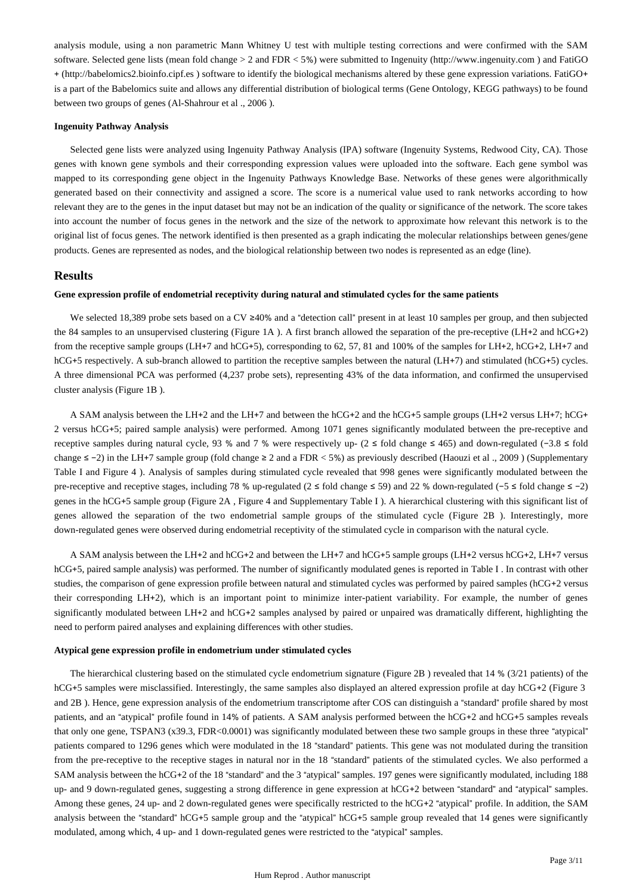analysis module, using a non parametric Mann Whitney U test with multiple testing corrections and were confirmed with the SAM software. Selected gene lists (mean fold change  $> 2$  and FDR  $< 5\%$ ) were submitted to Ingenuity (http://www.ingenuity.com ) and FatiGO + (http://babelomics2.bioinfo.cipf.es) software to identify the biological mechanisms altered by these gene expression variations. FatiGO+ is a part of the Babelomics suite and allows any differential distribution of biological terms (Gene Ontology, KEGG pathways) to be found between two groups of genes (Al-Shahrour et al., 2006).

#### **Ingenuity Pathway Analysis**

Selected gene lists were analyzed using Ingenuity Pathway Analysis (IPA) software (Ingenuity Systems, Redwood City, CA). Those genes with known gene symbols and their corresponding expression values were uploaded into the software. Each gene symbol was mapped to its corresponding gene object in the Ingenuity Pathways Knowledge Base. Networks of these genes were algorithmically generated based on their connectivity and assigned a score. The score is a numerical value used to rank networks according to how relevant they are to the genes in the input dataset but may not be an indication of the quality or significance of the network. The score takes into account the number of focus genes in the network and the size of the network to approximate how relevant this network is to the original list of focus genes. The network identified is then presented as a graph indicating the molecular relationships between genes/gene products. Genes are represented as nodes, and the biological relationship between two nodes is represented as an edge (line).

# **Results**

## **Gene expression profile of endometrial receptivity during natural and stimulated cycles for the same patients**

We selected 18,389 probe sets based on a CV ≥40% and a "detection call" present in at least 10 samples per group, and then subjected the 84 samples to an unsupervised clustering (Figure 1A). A first branch allowed the separation of the pre-receptive (LH+2 and hCG+2) from the receptive sample groups (LH+7 and hCG+5), corresponding to 62, 57, 81 and 100% of the samples for LH+2, hCG+2, LH+7 and hCG+5 respectively. A sub-branch allowed to partition the receptive samples between the natural (LH+7) and stimulated (hCG+5) cycles. A three dimensional PCA was performed (4,237 probe sets), representing 43% of the data information, and confirmed the unsupervised cluster analysis (Figure  $1B$ ).

A SAM analysis between the LH+2 and the LH+7 and between the hCG+2 and the hCG+5 sample groups (LH+2 versus LH+7; hCG+ 2 versus hCG+5; paired sample analysis) were performed. Among 1071 genes significantly modulated between the pre-receptive and receptive samples during natural cycle, 93 % and 7 % were respectively up- (2 ≤ fold change ≤ 465) and down-regulated (-3.8 ≤ fold change  $\le$  -2) in the LH+7 sample group (fold change ≥ 2 and a FDR < 5%) as previously described (Haouzi et al., 2009) (Supplementary Table I and Figure 4 ). Analysis of samples during stimulated cycle revealed that 998 genes were significantly modulated between the pre-receptive and receptive stages, including 78 % up-regulated ( $2 \le$  fold change  $\le$  59) and 22 % down-regulated (-5  $\le$  fold change  $\le$  -2) genes in the hCG+5 sample group (Figure 2A, Figure 4 and Supplementary Table I). A hierarchical clustering with this significant list of genes allowed the separation of the two endometrial sample groups of the stimulated cycle (Figure 2B). Interestingly, more down-regulated genes were observed during endometrial receptivity of the stimulated cycle in comparison with the natural cycle.

A SAM analysis between the LH+2 and hCG+2 and between the LH+7 and hCG+5 sample groups (LH+2 versus hCG+2, LH+7 versus hCG+5, paired sample analysis) was performed. The number of significantly modulated genes is reported in Table I. In contrast with other studies, the comparison of gene expression profile between natural and stimulated cycles was performed by paired samples (hCG+2 versus their corresponding LH+2), which is an important point to minimize inter-patient variability. For example, the number of genes significantly modulated between LH+2 and  $hCG+2$  samples analysed by paired or unpaired was dramatically different, highlighting the need to perform paired analyses and explaining differences with other studies.

#### **Atypical gene expression profile in endometrium under stimulated cycles**

The hierarchical clustering based on the stimulated cycle endometrium signature (Figure 2B) revealed that  $14\%$  ( $3/21$  patients) of the  $hCG+5$  samples were misclassified. Interestingly, the same samples also displayed an altered expression profile at day  $hCG+2$  (Figure 3 and 2B). Hence, gene expression analysis of the endometrium transcriptome after COS can distinguish a "standard" profile shared by most patients, and an "atypical" profile found in 14% of patients. A SAM analysis performed between the hCG+2 and hCG+5 samples reveals that only one gene, TSPAN3 (x39.3, FDR<0.0001) was significantly modulated between these two sample groups in these three "atypical" patients compared to 1296 genes which were modulated in the 18 "standard" patients. This gene was not modulated during the transition from the pre-receptive to the receptive stages in natural nor in the 18 "standard" patients of the stimulated cycles. We also performed a SAM analysis between the hCG+2 of the 18 "standard" and the 3 "atypical" samples. 197 genes were significantly modulated, including 188 up- and 9 down-regulated genes, suggesting a strong difference in gene expression at hCG+2 between "standard" and "atypical" samples. Among these genes,  $24$  up- and 2 down-regulated genes were specifically restricted to the hCG+2 "atypical" profile. In addition, the SAM analysis between the "standard" hCG+5 sample group and the "atypical" hCG+5 sample group revealed that 14 genes were significantly modulated, among which, 4 up- and 1 down-regulated genes were restricted to the "atypical" samples.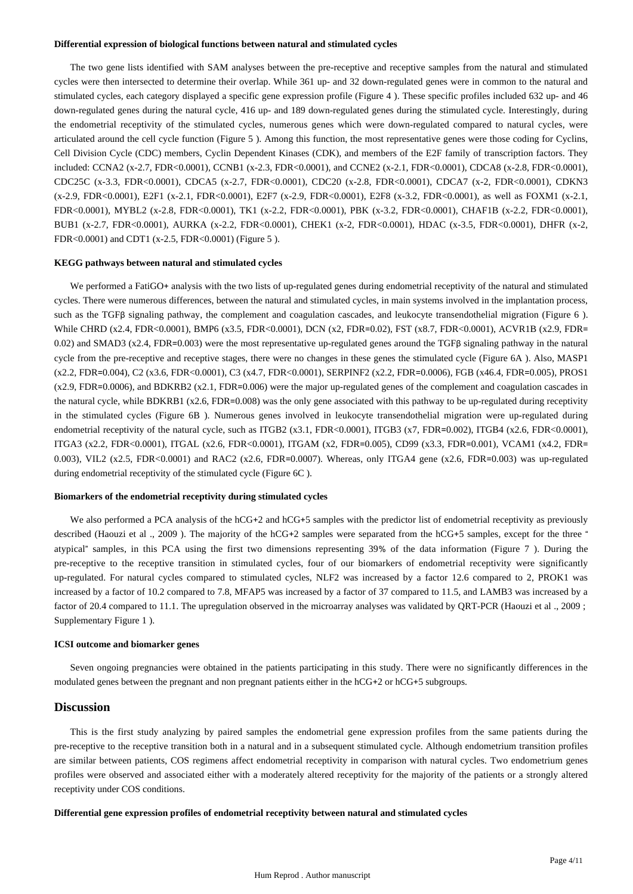#### **Differential expression of biological functions between natural and stimulated cycles**

The two gene lists identified with SAM analyses between the pre-receptive and receptive samples from the natural and stimulated cycles were then intersected to determine their overlap. While 361 up- and 32 down-regulated genes were in common to the natural and stimulated cycles, each category displayed a specific gene expression profile (Figure 4). These specific profiles included 632 up- and 46 down-regulated genes during the natural cycle, 416 up- and 189 down-regulated genes during the stimulated cycle. Interestingly, during the endometrial receptivity of the stimulated cycles, numerous genes which were down-regulated compared to natural cycles, were articulated around the cell cycle function (Figure 5). Among this function, the most representative genes were those coding for Cyclins, Cell Division Cycle (CDC) members, Cyclin Dependent Kinases (CDK), and members of the E2F family of transcription factors. They included: CCNA2 (x-2.7, FDR<0.0001), CCNB1 (x-2.3, FDR<0.0001), and CCNE2 (x-2.1, FDR<0.0001), CDCA8 (x-2.8, FDR<0.0001), CDC25C (x-3.3, FDR<0.0001), CDCA5 (x-2.7, FDR<0.0001), CDC20 (x-2.8, FDR<0.0001), CDCA7 (x-2, FDR<0.0001), CDKN3 (x-2.9, FDR<0.0001), E2F1 (x-2.1, FDR<0.0001), E2F7 (x-2.9, FDR<0.0001), E2F8 (x-3.2, FDR<0.0001), as well as FOXM1 (x-2.1, FDR<0.0001), MYBL2 (x-2.8, FDR<0.0001), TK1 (x-2.2, FDR<0.0001), PBK (x-3.2, FDR<0.0001), CHAF1B (x-2.2, FDR<0.0001), BUB1 (x-2.7, FDR<0.0001), AURKA (x-2.2, FDR<0.0001), CHEK1 (x-2, FDR<0.0001), HDAC (x-3.5, FDR<0.0001), DHFR (x-2,  $FDR < 0.0001$ ) and CDT1 (x-2.5,  $FDR < 0.0001$ ) (Figure 5).

### **KEGG pathways between natural and stimulated cycles**

We performed a FatiGO+ analysis with the two lists of up-regulated genes during endometrial receptivity of the natural and stimulated cycles. There were numerous differences, between the natural and stimulated cycles, in main systems involved in the implantation process, such as the TGFβ signaling pathway, the complement and coagulation cascades, and leukocyte transendothelial migration (Figure 6). While CHRD (x2.4, FDR<0.0001), BMP6 (x3.5, FDR<0.0001), DCN (x2, FDR=0.02), FST (x8.7, FDR<0.0001), ACVR1B (x2.9, FDR=  $0.02$ ) and SMAD3 (x2.4, FDR=0.003) were the most representative up-regulated genes around the TGFβ signaling pathway in the natural cycle from the pre-receptive and receptive stages, there were no changes in these genes the stimulated cycle (Figure 6A). Also, MASP1  $(x2.2, FDR = 0.004)$ , C<sub>2</sub> $(x3.6, FDR < 0.0001)$ , C<sub>3</sub> $(x4.7, FDR < 0.0001)$ , SERPINF<sub>2</sub> $(x2.2, FDR = 0.0006)$ , FGB  $(x46.4, FDR = 0.005)$ , PROS1  $(x2.9, FDR = 0.0006)$ , and BDKRB2  $(x2.1, FDR = 0.006)$  were the major up-regulated genes of the complement and coagulation cascades in the natural cycle, while BDKRB1  $(x2.6, FDR = 0.008)$  was the only gene associated with this pathway to be up-regulated during receptivity in the stimulated cycles (Figure 6B). Numerous genes involved in leukocyte transendothelial migration were up-regulated during endometrial receptivity of the natural cycle, such as ITGB2  $(x3.1, FDR<0.0001)$ , ITGB3  $(x7, FDR = 0.002)$ , ITGB4  $(x2.6, FDR<0.0001)$ , ITGA3 (x2.2, FDR<0.0001), ITGAL (x2.6, FDR<0.0001), ITGAM (x2, FDR=0.005), CD99 (x3.3, FDR=0.001), VCAM1 (x4.2, FDR= 0.003), VIL2 (x2.5, FDR<0.0001) and RAC2 (x2.6, FDR=0.0007). Whereas, only ITGA4 gene (x2.6, FDR=0.003) was up-regulated during endometrial receptivity of the stimulated cycle (Figure 6C).

#### **Biomarkers of the endometrial receptivity during stimulated cycles**

We also performed a PCA analysis of the hCG+2 and hCG+5 samples with the predictor list of endometrial receptivity as previously described (Haouzi et al., 2009). The majority of the hCG+2 samples were separated from the hCG+5 samples, except for the three  $\pm$ atypical" samples, in this PCA using the first two dimensions representing  $39%$  of the data information (Figure 7). During the pre-receptive to the receptive transition in stimulated cycles, four of our biomarkers of endometrial receptivity were significantly up-regulated. For natural cycles compared to stimulated cycles, NLF2 was increased by a factor 12.6 compared to 2, PROK1 was increased by a factor of 10.2 compared to 7.8, MFAP5 was increased by a factor of 37 compared to 11.5, and LAMB3 was increased by a factor of 20.4 compared to 11.1. The upregulation observed in the microarray analyses was validated by QRT-PCR (Haouzi et al., 2009; Supplementary Figure 1 ).

#### **ICSI outcome and biomarker genes**

Seven ongoing pregnancies were obtained in the patients participating in this study. There were no significantly differences in the modulated genes between the pregnant and non pregnant patients either in the hCG+2 or hCG+5 subgroups.

## **Discussion**

This is the first study analyzing by paired samples the endometrial gene expression profiles from the same patients during the pre-receptive to the receptive transition both in a natural and in a subsequent stimulated cycle. Although endometrium transition profiles are similar between patients, COS regimens affect endometrial receptivity in comparison with natural cycles. Two endometrium genes profiles were observed and associated either with a moderately altered receptivity for the majority of the patients or a strongly altered receptivity under COS conditions.

#### **Differential gene expression profiles of endometrial receptivity between natural and stimulated cycles**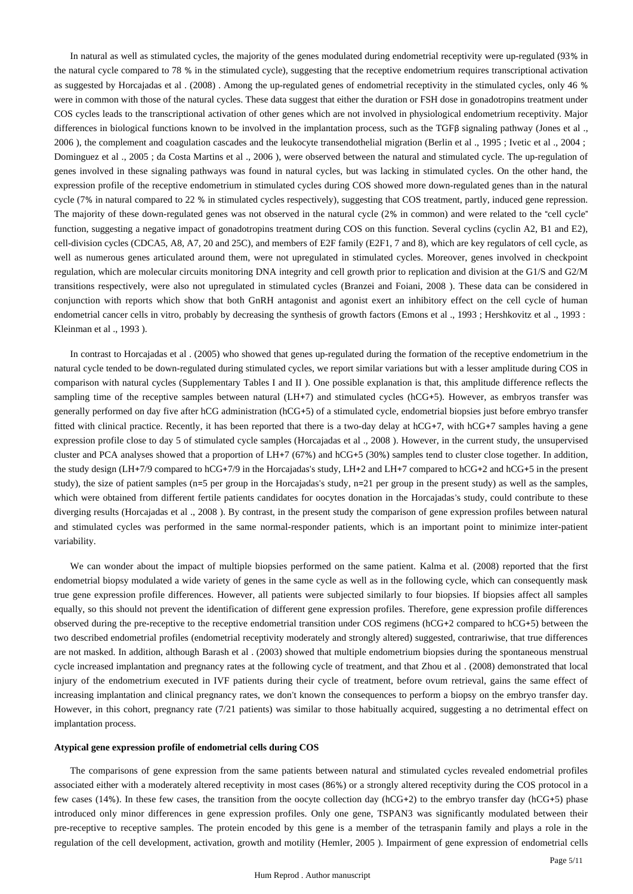In natural as well as stimulated cycles, the majority of the genes modulated during endometrial receptivity were up-regulated (93% in the natural cycle compared to 78 % in the stimulated cycle), suggesting that the receptive endometrium requires transcriptional activation as suggested by Horcajadas et al. (2008). Among the up-regulated genes of endometrial receptivity in the stimulated cycles, only 46 % were in common with those of the natural cycles. These data suggest that either the duration or FSH dose in gonadotropins treatment under COS cycles leads to the transcriptional activation of other genes which are not involved in physiological endometrium receptivity. Major differences in biological functions known to be involved in the implantation process, such as the TGFβ signaling pathway (Jones et al.,  $2006$ ), the complement and coagulation cascades and the leukocyte transendothelial migration (Berlin et al., 1995; Ivetic et al., 2004; Dominguez et al ., 2005 ; da Costa Martins et al ., 2006 ), were observed between the natural and stimulated cycle. The up-regulation of genes involved in these signaling pathways was found in natural cycles, but was lacking in stimulated cycles. On the other hand, the expression profile of the receptive endometrium in stimulated cycles during COS showed more down-regulated genes than in the natural cycle (7% in natural compared to 22 % in stimulated cycles respectively), suggesting that COS treatment, partly, induced gene repression. The majority of these down-regulated genes was not observed in the natural cycle (2% in common) and were related to the "cell cycle" function, suggesting a negative impact of gonadotropins treatment during COS on this function. Several cyclin (cyclin A2, B1 and E2), cell-division cycles (CDCA5, A8, A7, 20 and 25C), and members of E2F family (E2F1, 7 and 8), which are key regulators of cell cycle, as well as numerous genes articulated around them, were not upregulated in stimulated cycles. Moreover, genes involved in checkpoint regulation, which are molecular circuits monitoring DNA integrity and cell growth prior to replication and division at the G1/S and G2/M transitions respectively, were also not upregulated in stimulated cycles (Branzei and Foiani, 2008). These data can be considered in conjunction with reports which show that both GnRH antagonist and agonist exert an inhibitory effect on the cell cycle of human endometrial cancer cells in vitro, probably by decreasing the synthesis of growth factors (Emons et al ., 1993; Hershkovitz et al ., 1993; Kleinman et al ., 1993 ).

In contrast to Horcajadas et al. (2005) who showed that genes up-regulated during the formation of the receptive endometrium in the natural cycle tended to be down-regulated during stimulated cycles, we report similar variations but with a lesser amplitude during COS in comparison with natural cycles (Supplementary Tables I and II). One possible explanation is that, this amplitude difference reflects the sampling time of the receptive samples between natural (LH+7) and stimulated cycles (hCG+5). However, as embryos transfer was generally performed on day five after hCG administration (hCG+5) of a stimulated cycle, endometrial biopsies just before embryo transfer fitted with clinical practice. Recently, it has been reported that there is a two-day delay at hCG+7, with hCG+7 samples having a gene expression profile close to day 5 of stimulated cycle samples (Horcajadas et al ., 2008 ). However, in the current study, the unsupervised cluster and PCA analyses showed that a proportion of LH+7 (67%) and hCG+5 (30%) samples tend to cluster close together. In addition, the study design (LH+7/9 compared to hCG+7/9 in the Horcajadas's study, LH+2 and LH+7 compared to hCG+2 and hCG+5 in the present study), the size of patient samples ( $n=5$  per group in the Horcajadas's study,  $n=21$  per group in the present study) as well as the samples, which were obtained from different fertile patients candidates for oocytes donation in the Horcajadas's study, could contribute to these diverging results (Horcajadas et al ., 2008). By contrast, in the present study the comparison of gene expression profiles between natural and stimulated cycles was performed in the same normal-responder patients, which is an important point to minimize inter-patient variability.

We can wonder about the impact of multiple biopsies performed on the same patient. Kalma et al. (2008) reported that the first endometrial biopsy modulated a wide variety of genes in the same cycle as well as in the following cycle, which can consequently mask true gene expression profile differences. However, all patients were subjected similarly to four biopsies. If biopsies affect all samples equally, so this should not prevent the identification of different gene expression profiles. Therefore, gene expression profile differences observed during the pre-receptive to the receptive endometrial transition under COS regimens (hCG+2 compared to hCG+5) between the two described endometrial profiles (endometrial receptivity moderately and strongly altered) suggested, contrariwise, that true differences are not masked. In addition, although Barash et al . (2003) showed that multiple endometrium biopsies during the spontaneous menstrual cycle increased implantation and pregnancy rates at the following cycle of treatment, and that Zhou et al . (2008) demonstrated that local injury of the endometrium executed in IVF patients during their cycle of treatment, before ovum retrieval, gains the same effect of increasing implantation and clinical pregnancy rates, we don't known the consequences to perform a biopsy on the embryo transfer day. However, in this cohort, pregnancy rate (7/21 patients) was similar to those habitually acquired, suggesting a no detrimental effect on implantation process.

### **Atypical gene expression profile of endometrial cells during COS**

The comparisons of gene expression from the same patients between natural and stimulated cycles revealed endometrial profiles associated either with a moderately altered receptivity in most cases (86%) or a strongly altered receptivity during the COS protocol in a few cases (14%). In these few cases, the transition from the oocyte collection day (hCG+2) to the embryo transfer day (hCG+5) phase introduced only minor differences in gene expression profiles. Only one gene, TSPAN3 was significantly modulated between their pre-receptive to receptive samples. The protein encoded by this gene is a member of the tetraspanin family and plays a role in the regulation of the cell development, activation, growth and motility (Hemler, 2005). Impairment of gene expression of endometrial cells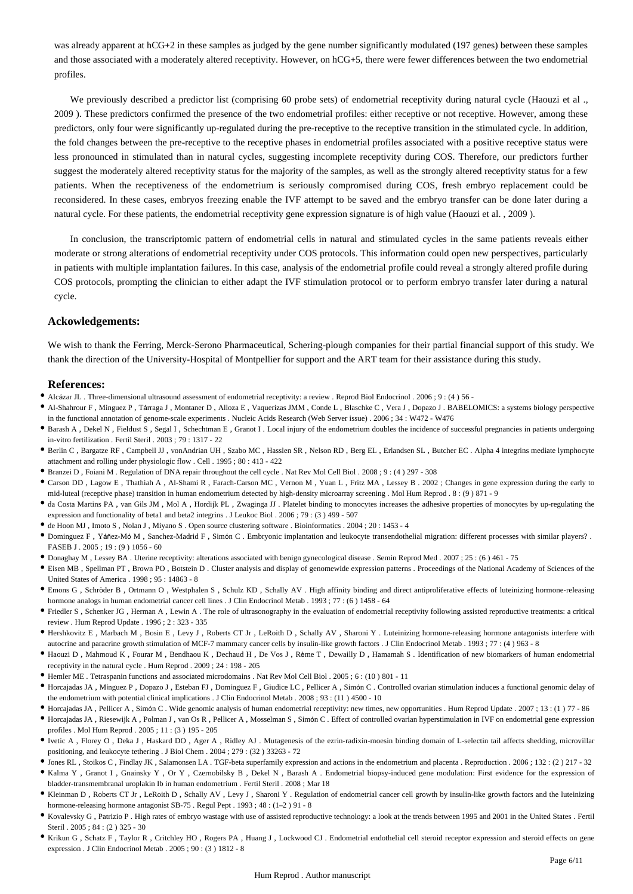was already apparent at hCG+2 in these samples as judged by the gene number significantly modulated (197 genes) between these samples and those associated with a moderately altered receptivity. However, on hCG+5, there were fewer differences between the two endometrial profiles.

We previously described a predictor list (comprising 60 probe sets) of endometrial receptivity during natural cycle (Haouzi et al., 2009 ). These predictors confirmed the presence of the two endometrial profiles: either receptive or not receptive. However, among these predictors, only four were significantly up-regulated during the pre-receptive to the receptive transition in the stimulated cycle. In addition, the fold changes between the pre-receptive to the receptive phases in endometrial profiles associated with a positive receptive status were less pronounced in stimulated than in natural cycles, suggesting incomplete receptivity during COS. Therefore, our predictors further suggest the moderately altered receptivity status for the majority of the samples, as well as the strongly altered receptivity status for a few patients. When the receptiveness of the endometrium is seriously compromised during COS, fresh embryo replacement could be reconsidered. In these cases, embryos freezing enable the IVF attempt to be saved and the embryo transfer can be done later during a natural cycle. For these patients, the endometrial receptivity gene expression signature is of high value (Haouzi et al., 2009).

In conclusion, the transcriptomic pattern of endometrial cells in natural and stimulated cycles in the same patients reveals either moderate or strong alterations of endometrial receptivity under COS protocols. This information could open new perspectives, particularly in patients with multiple implantation failures. In this case, analysis of the endometrial profile could reveal a strongly altered profile during COS protocols, prompting the clinician to either adapt the IVF stimulation protocol or to perform embryo transfer later during a natural cycle.

# **Ackowledgements:**

We wish to thank the Ferring, Merck-Serono Pharmaceutical, Schering-plough companies for their partial financial support of this study. We thank the direction of the University-Hospital of Montpellier for support and the ART team for their assistance during this study.

# **References:**

- Alcázar JL . Three-dimensional ultrasound assessment of endometrial receptivity: a review . Reprod Biol Endocrinol . 2006 ; 9 : (4) 56 -
- Al-Shahrour F, Minguez P, Tárraga J, Montaner D, Alloza E, Vaquerizas JMM, Conde L, Blaschke C, Vera J, Dopazo J. BABELOMICS: a systems biology perspective in the functional annotation of genome-scale experiments . Nucleic Acids Research (Web Server issue) . 2006 ; 34 : W472 - W476
- Barash A , Dekel N , Fieldust S , Segal I , Schechtman E , Granot I . Local injury of the endometrium doubles the incidence of successful pregnancies in patients undergoing in-vitro fertilization . Fertil Steril . 2003 ; 79 : 1317 - 22
- Berlin C , Bargatze RF , Campbell JJ , vonAndrian UH , Szabo MC , Hasslen SR , Nelson RD , Berg EL , Erlandsen SL , Butcher EC . Alpha 4 integrins mediate lymphocyte attachment and rolling under physiologic flow . Cell . 1995 ; 80 : 413 - 422
- Branzei D , Foiani M . Regulation of DNA repair throughout the cell cycle . Nat Rev Mol Cell Biol . 2008 ; 9 : (4 ) 297 308
- Carson DD , Lagow E , Thathiah A , Al-Shami R , Farach-Carson MC , Vernon M , Yuan L , Fritz MA , Lessey B . 2002 ; Changes in gene expression during the early to mid-luteal (receptive phase) transition in human endometrium detected by high-density microarray screening . Mol Hum Reprod . 8 : (9 ) 871 - 9
- da Costa Martins PA , van Gils JM , Mol A , Hordijk PL , Zwaginga JJ . Platelet binding to monocytes increases the adhesive properties of monocytes by up-regulating the expression and functionality of beta1 and beta2 integrins . J Leukoc Biol . 2006 ; 79 : (3 ) 499 - 507
- de Hoon MJ , Imoto S , Nolan J , Miyano S . Open source clustering software . Bioinformatics . 2004 ; 20 : 1453 4
- Dominguez F, Yáñez-Mó M, Sanchez-Madrid F, Simón C. Embryonic implantation and leukocyte transendothelial migration: different processes with similar players? . FASEB J . 2005 ; 19 : (9 ) 1056 - 60
- Donaghay M , Lessey BA . Uterine receptivity: alterations associated with benign gynecological disease . Semin Reprod Med . 2007 ; 25 : (6 ) 461 75
- Eisen MB , Spellman PT , Brown PO , Botstein D . Cluster analysis and display of genomewide expression patterns . Proceedings of the National Academy of Sciences of the United States of America . 1998 ; 95 : 14863 - 8
- Emons G, Schröder B, Ortmann O, Westphalen S, Schulz KD, Schally AV. High affinity binding and direct antiproliferative effects of luteinizing hormone-releasing hormone analogs in human endometrial cancer cell lines . J Clin Endocrinol Metab . 1993 ; 77 : (6 ) 1458 - 64
- Friedler S , Schenker JG , Herman A , Lewin A . The role of ultrasonography in the evaluation of endometrial receptivity following assisted reproductive treatments: a critical review . Hum Reprod Update . 1996 ; 2 : 323 - 335
- Hershkovitz E , Marbach M , Bosin E , Levy J , Roberts CT Jr , LeRoith D , Schally AV , Sharoni Y . Luteinizing hormone-releasing hormone antagonists interfere with autocrine and paracrine growth stimulation of MCF-7 mammary cancer cells by insulin-like growth factors . J Clin Endocrinol Metab . 1993 ; 77 : (4 ) 963 - 8
- $\bullet$  Haouzi D, Mahmoud K, Fourar M, Bendhaou K, Dechaud H, De Vos J, Rème T, Dewailly D, Hamamah S. Identification of new biomarkers of human endometrial receptivity in the natural cycle . Hum Reprod . 2009 ; 24 : 198 - 205
- Hemler ME . Tetraspanin functions and associated microdomains . Nat Rev Mol Cell Biol . 2005 ; 6 : (10 ) 801 11
- $\bullet$  Horcajadas JA, Mínguez P, Dopazo J, Esteban FJ, Domínguez F, Giudice LC, Pellicer A, Simón C. Controlled ovarian stimulation induces a functional genomic delay of the endometrium with potential clinical implications . J Clin Endocrinol Metab . 2008 ; 93 : (11 ) 4500 - 10
- Horcajadas JA, Pellicer A, Simón C. Wide genomic analysis of human endometrial receptivity: new times, new opportunities . Hum Reprod Update . 2007; 13: (1) 77 86
- $\bullet$  Horcajadas JA, Riesewijk A, Polman J, van Os R, Pellicer A, Mosselman S, Simón C. Effect of controlled ovarian hyperstimulation in IVF on endometrial gene expression profiles . Mol Hum Reprod . 2005 ; 11 : (3 ) 195 - 205
- Ivetic A , Florey O , Deka J , Haskard DO , Ager A , Ridley AJ . Mutagenesis of the ezrin-radixin-moesin binding domain of L-selectin tail affects shedding, microvillar positioning, and leukocyte tethering . J Biol Chem . 2004 ; 279 : (32 ) 33263 - 72
- Jones RL , Stoikos C , Findlay JK , Salamonsen LA . TGF-beta superfamily expression and actions in the endometrium and placenta . Reproduction . 2006 ; 132 : (2 ) 217 32
- Kalma Y , Granot I , Gnainsky Y , Or Y , Czernobilsky B , Dekel N , Barash A . Endometrial biopsy-induced gene modulation: First evidence for the expression of bladder-transmembranal uroplakin Ib in human endometrium . Fertil Steril . 2008 ; Mar 18
- Kleinman D , Roberts CT Jr , LeRoith D , Schally AV , Levy J , Sharoni Y . Regulation of endometrial cancer cell growth by insulin-like growth factors and the luteinizing hormone-releasing hormone antagonist SB-75 . Regul Pept  $.1993$ ;  $48$ :  $(1-2)$  91 - 8
- Kovalevsky G , Patrizio P . High rates of embryo wastage with use of assisted reproductive technology: a look at the trends between 1995 and 2001 in the United States . Fertil Steril . 2005 ; 84 : (2 ) 325 - 30
- Krikun G , Schatz F , Taylor R , Critchley HO , Rogers PA , Huang J , Lockwood CJ . Endometrial endothelial cell steroid receptor expression and steroid effects on gene expression . J Clin Endocrinol Metab . 2005 ; 90 : (3 ) 1812 - 8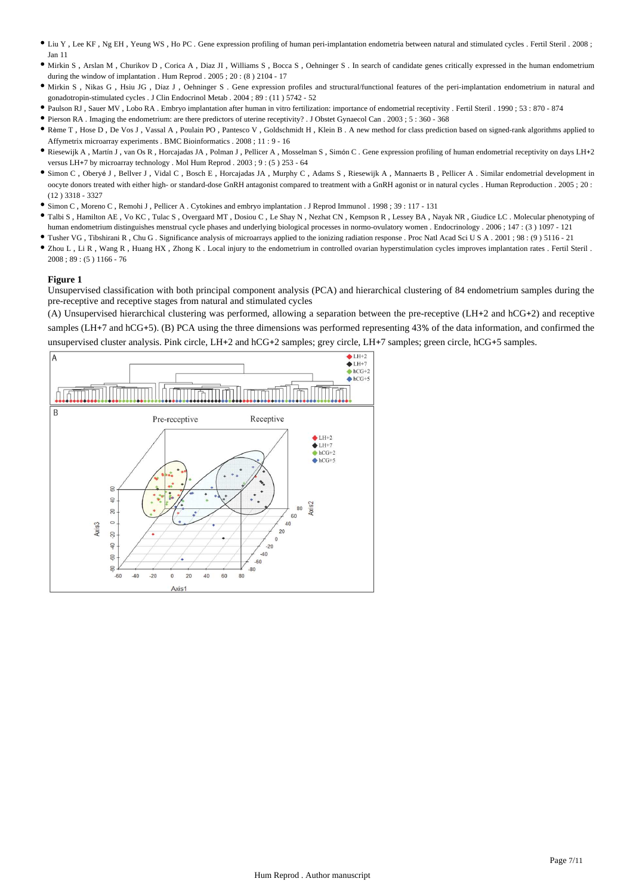- Liu Y , Lee KF , Ng EH , Yeung WS , Ho PC . Gene expression profiling of human peri-implantation endometria between natural and stimulated cycles . Fertil Steril . 2008 ; Jan 11
- Mirkin S , Arslan M , Churikov D , Corica A , Diaz JI , Williams S , Bocca S , Oehninger S . In search of candidate genes critically expressed in the human endometrium during the window of implantation . Hum Reprod . 2005 ; 20: (8) 2104 - 17
- $\bullet$  Mirkin S, Nikas G, Hsiu JG, Díaz J, Oehninger S. Gene expression profiles and structural/functional features of the peri-implantation endometrium in natural and gonadotropin-stimulated cycles . J Clin Endocrinol Metab . 2004 ; 89 : (11 ) 5742 - 52
- Paulson RJ , Sauer MV , Lobo RA . Embryo implantation after human in vitro fertilization: importance of endometrial receptivity . Fertil Steril . 1990 ; 53 : 870 874
- Pierson RA . Imaging the endometrium: are there predictors of uterine receptivity? . J Obstet Gynaecol Can . 2003 ; 5 : 360 368
- \* Rème T, Hose D, De Vos J, Vassal A, Poulain PO, Pantesco V, Goldschmidt H, Klein B. A new method for class prediction based on signed-rank algorithms applied to Affymetrix microarray experiments . BMC Bioinformatics . 2008 ; 11 : 9 - 16
- Riesewijk A, Martín J, van Os R, Horcajadas JA, Polman J, Pellicer A, Mosselman S, Simón C. Gene expression profiling of human endometrial receptivity on days LH+2 versus LH+7 by microarray technology . Mol Hum Reprod . 2003 ; 9 : (5) 253 - 64
- Simon C, Obervé J, Bellver J, Vidal C, Bosch E, Horcajadas JA, Murphy C, Adams S, Riesewijk A, Mannaerts B, Pellicer A, Similar endometrial development in oocyte donors treated with either high- or standard-dose GnRH antagonist compared to treatment with a GnRH agonist or in natural cycles . Human Reproduction . 2005 ; 20 : (12 ) 3318 - 3327
- Simon C , Moreno C , Remohi J , Pellicer A . Cytokines and embryo implantation . J Reprod Immunol . 1998 ; 39 : 117 131
- Talbi S , Hamilton AE , Vo KC , Tulac S , Overgaard MT , Dosiou C , Le Shay N , Nezhat CN , Kempson R , Lessey BA , Nayak NR , Giudice LC . Molecular phenotyping of human endometrium distinguishes menstrual cycle phases and underlying biological processes in normo-ovulatory women . Endocrinology . 2006; 147 : (3) 1097 - 121
- Tusher VG , Tibshirani R , Chu G . Significance analysis of microarrays applied to the ionizing radiation response . Proc Natl Acad Sci U S A . 2001 ; 98 : (9 ) 5116 21
- Zhou L , Li R , Wang R , Huang HX , Zhong K . Local injury to the endometrium in controlled ovarian hyperstimulation cycles improves implantation rates . Fertil Steril . 2008 ; 89 : (5 ) 1166 - 76

Unsupervised classification with both principal component analysis (PCA) and hierarchical clustering of 84 endometrium samples during the pre-receptive and receptive stages from natural and stimulated cycles

(A) Unsupervised hierarchical clustering was performed, allowing a separation between the pre-receptive (LH+2 and hCG+2) and receptive samples (LH+7 and hCG+5). (B) PCA using the three dimensions was performed representing 43% of the data information, and confirmed the unsupervised cluster analysis. Pink circle, LH+2 and hCG+2 samples; grey circle, LH+7 samples; green circle, hCG+5 samples.

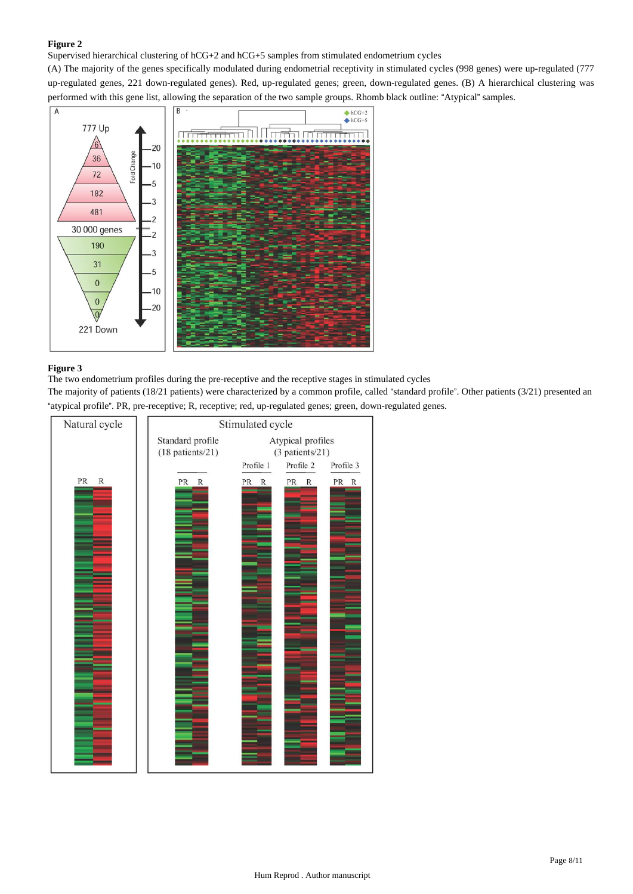Supervised hierarchical clustering of hCG+2 and hCG+5 samples from stimulated endometrium cycles

(A) The majority of the genes specifically modulated during endometrial receptivity in stimulated cycles (998 genes) were up-regulated (777 up-regulated genes, 221 down-regulated genes). Red, up-regulated genes; green, down-regulated genes. (B) A hierarchical clustering was performed with this gene list, allowing the separation of the two sample groups. Rhomb black outline: "Atypical" samples.



# **Figure 3**

The two endometrium profiles during the pre-receptive and the receptive stages in stimulated cycles

The majority of patients (18/21 patients) were characterized by a common profile, called "standard profile". Other patients ( $3/21$ ) presented an " atypical profile". PR, pre-receptive; R, receptive; red, up-regulated genes; green, down-regulated genes.

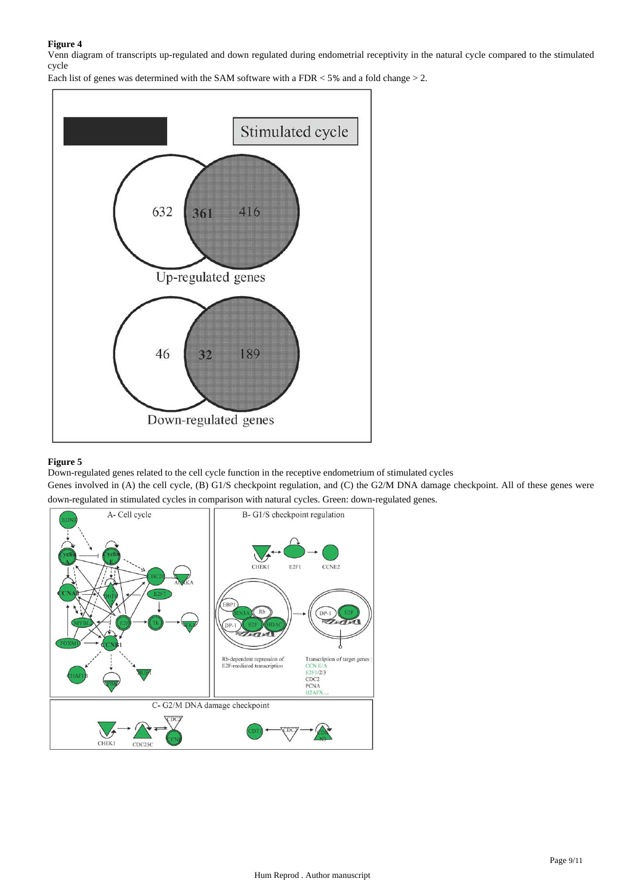Venn diagram of transcripts up-regulated and down regulated during endometrial receptivity in the natural cycle compared to the stimulated cycle

Each list of genes was determined with the SAM software with a FDR  $<$  5% and a fold change  $>$  2.



## **Figure 5**

Down-regulated genes related to the cell cycle function in the receptive endometrium of stimulated cycles

Genes involved in (A) the cell cycle, (B) G1/S checkpoint regulation, and (C) the G2/M DNA damage checkpoint. All of these genes were down-regulated in stimulated cycles in comparison with natural cycles. Green: down-regulated genes.

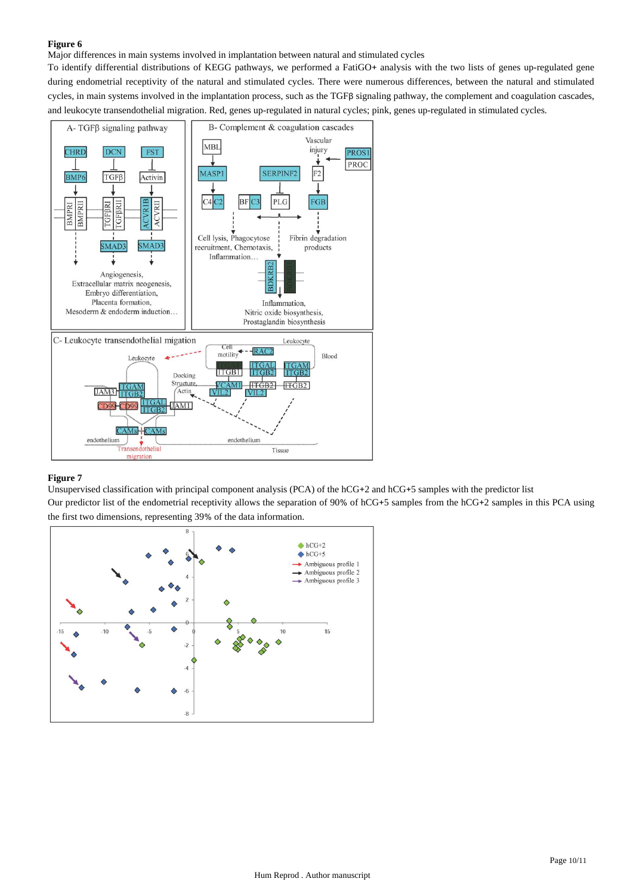Major differences in main systems involved in implantation between natural and stimulated cycles

To identify differential distributions of KEGG pathways, we performed a FatiGO+ analysis with the two lists of genes up-regulated gene during endometrial receptivity of the natural and stimulated cycles. There were numerous differences, between the natural and stimulated cycles, in main systems involved in the implantation process, such as the TGFβ signaling pathway, the complement and coagulation cascades, and leukocyte transendothelial migration. Red, genes up-regulated in natural cycles; pink, genes up-regulated in stimulated cycles.



## **Figure 7**

Unsupervised classification with principal component analysis (PCA) of the hCG+2 and hCG+5 samples with the predictor list Our predictor list of the endometrial receptivity allows the separation of 90% of hCG+5 samples from the hCG+2 samples in this PCA using the first two dimensions, representing 39% of the data information.